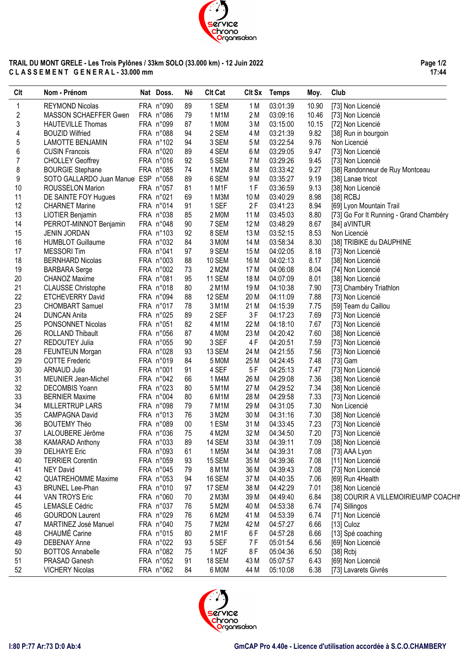

### **TRAIL DU MONT GRELE - Les Trois Pylônes / 33km SOLO (33.000 km) - 12 Juin 2022 C L A S S E M E N T G E N E R A L - 33.000 mm**

**Page 1/2 17:44**

| Clt | Nom - Prénom                        | Nat Doss. | Né | <b>Clt Cat</b> |                 | Clt Sx Temps | Moy.  | Club                                      |
|-----|-------------------------------------|-----------|----|----------------|-----------------|--------------|-------|-------------------------------------------|
| 1   | <b>REYMOND Nicolas</b>              | FRA n°090 | 89 | 1 SEM          | 1 M             | 03:01:39     | 10.90 | [73] Non Licencié                         |
| 2   | MASSON SCHAEFFER Gwen               | FRA n°086 | 79 | 1 M1M          | 2M              | 03:09:16     | 10.46 | [73] Non Licencié                         |
| 3   | <b>HAUTEVILLE Thomas</b>            | FRA n°099 | 87 | 1 MOM          | 3M              | 03:15:00     | 10.15 | [72] Non Licencié                         |
| 4   | <b>BOUZID Wilfried</b>              | FRA n°088 | 94 | 2 SEM          | 4 M             | 03:21:39     | 9.82  | [38] Run in bourgoin                      |
| 5   | <b>LAMOTTE BENJAMIN</b>             | FRA n°102 | 94 | 3 SEM          | 5 M             | 03:22:54     | 9.76  | Non Licencié                              |
| 6   | <b>CUSIN Francois</b>               | FRA n°020 | 89 | 4 SEM          | 6 M             | 03:29:05     | 9.47  | [73] Non Licencié                         |
| 7   | <b>CHOLLEY Geoffrey</b>             | FRA n°016 | 92 | 5 SEM          | 7 M             | 03:29:26     | 9.45  | [73] Non Licencié                         |
| 8   | <b>BOURGIE Stephane</b>             | FRA n°085 | 74 | 1 M2M          | 8 M             | 03:33:42     | 9.27  | [38] Randonneur de Ruy Montceau           |
| 9   | SOTO GALLARDO Juan Manuel ESP n°058 |           | 89 | 6 SEM          | 9 M             | 03:35:27     | 9.19  | [38] Lanae tricot                         |
| 10  | <b>ROUSSELON Marion</b>             | FRA n°057 | 81 | 1 M1F          | 1F              | 03:36:59     | 9.13  | [38] Non Licencié                         |
| 11  | DE SAINTE FOY Hugues                | FRA n°021 | 69 | 1 M3M          | 10 <sub>M</sub> | 03:40:29     | 8.98  | [38] RCBJ                                 |
| 12  | <b>CHARNET Marine</b>               | FRA n°014 | 91 | 1 SEF          | 2F              | 03:41:23     | 8.94  | [69] Lyon Mountain Trail                  |
| 13  | LIOTIER Benjamin                    | FRA n°038 | 85 | 2 MOM          | 11 M            | 03:45:03     | 8.80  | [73] Go For It Running - Grand Chambéry   |
| 14  | PERROT-MINNOT Benjamin              | FRA n°048 | 90 | 7 SEM          | 12 M            | 03:48:29     | 8.67  | [84] aVINTUR                              |
| 15  | <b>JENIN JORDAN</b>                 | FRA n°103 | 92 | 8 SEM          | 13 M            | 03:52:15     | 8.53  | Non Licencié                              |
| 16  | <b>HUMBLOT Guillaume</b>            | FRA n°032 | 84 | 3 MOM          | 14 M            | 03:58:34     | 8.30  | [38] TRIBIKE du DAUPHINE                  |
| 17  | <b>MESSORI</b> Tim                  | FRA n°041 | 97 | 9 SEM          | 15 M            | 04:02:05     | 8.18  | [73] Non Licencié                         |
| 18  | <b>BERNHARD Nicolas</b>             | FRA n°003 | 88 | <b>10 SEM</b>  | 16 M            | 04:02:13     | 8.17  | [38] Non Licencié                         |
| 19  | <b>BARBARA</b> Serge                | FRA n°002 | 73 | 2 M2M          | 17 M            | 04:06:08     | 8.04  | [74] Non Licencié                         |
| 20  | <b>CHANOZ Maxime</b>                | FRA n°081 | 95 | <b>11 SEM</b>  | 18 M            | 04:07:09     | 8.01  | [38] Non Licencié                         |
| 21  | <b>CLAUSSE Christophe</b>           | FRA n°018 | 80 | 2 M1M          | 19 <sub>M</sub> | 04:10:38     | 7.90  | [73] Chambéry Triathlon                   |
| 22  | <b>ETCHEVERRY David</b>             | FRA n°094 | 88 | 12 SEM         | 20 M            | 04:11:09     | 7.88  |                                           |
| 23  | <b>CHOMBART Samuel</b>              | FRA n°017 | 78 | 3 M1M          | 21 M            | 04:15:39     | 7.75  | [73] Non Licencié<br>[59] Team du Caillou |
| 24  |                                     | FRA n°025 | 89 | 2 SEF          | 3F              | 04:17:23     | 7.69  |                                           |
|     | <b>DUNCAN Anita</b>                 |           |    |                |                 |              |       | [73] Non Licencié                         |
| 25  | PONSONNET Nicolas                   | FRA n°051 | 82 | 4 M1M          | 22 M            | 04:18:10     | 7.67  | [73] Non Licencié                         |
| 26  | <b>ROLLAND Thibault</b>             | FRA n°056 | 87 | 4 MOM          | 23 M            | 04:20:42     | 7.60  | [38] Non Licencié                         |
| 27  | REDOUTEY Julia                      | FRA n°055 | 90 | 3 SEF          | 4F              | 04:20:51     | 7.59  | [73] Non Licencié                         |
| 28  | FEUNTEUN Morgan                     | FRA n°028 | 93 | 13 SEM         | 24 M            | 04:21:55     | 7.56  | [73] Non Licencié                         |
| 29  | <b>COTTE Frederic</b>               | FRA n°019 | 84 | 5 M0M          | 25 M            | 04:24:45     | 7.48  | [73] Gam                                  |
| 30  | <b>ARNAUD Julie</b>                 | FRA n°001 | 91 | 4 SEF          | 5F              | 04:25:13     | 7.47  | [73] Non Licencié                         |
| 31  | MEUNIER Jean-Michel                 | FRA n°042 | 66 | 1 M4M          | 26 M            | 04:29:08     | 7.36  | [38] Non Licencié                         |
| 32  | DECOMBIS Yoann                      | FRA n°023 | 80 | 5 M1M          | 27 M            | 04:29:52     | 7.34  | [38] Non Licencié                         |
| 33  | <b>BERNIER Maxime</b>               | FRA n°004 | 80 | 6 M1M          | 28 M            | 04:29:58     | 7.33  | [73] Non Licencié                         |
| 34  | <b>MILLERTRUP LARS</b>              | FRA n°098 | 79 | 7 M1M          | 29 M            | 04:31:05     | 7.30  | Non Licencié                              |
| 35  | CAMPAGNA David                      | FRA n°013 | 76 | 3 M2M          | 30 M            | 04:31:16     | 7.30  | [38] Non Licencié                         |
| 36  | <b>BOUTEMY Théo</b>                 | FRA n°089 | 00 | 1 ESM          | 31 M            | 04:33:45     | 7.23  | [73] Non Licencié                         |
| 37  | LALOUBERE Jérôme                    | FRA n°036 | 75 | 4 M2M          | 32 M            | 04:34:50     | 7.20  | [73] Non Licencié                         |
| 38  | <b>KAMARAD Anthony</b>              | FRA n°033 | 89 | <b>14 SEM</b>  | 33 M            | 04:39:11     | 7.09  | [38] Non Licencié                         |
| 39  | <b>DELHAYE Eric</b>                 | FRA n°093 | 61 | 1 M5M          | 34 M            | 04:39:31     | 7.08  | [73] AAA Lyon                             |
| 40  | <b>TERRIER Corentin</b>             | FRA n°059 | 93 | <b>15 SEM</b>  | 35 M            | 04:39:36     | 7.08  | [11] Non Licencié                         |
| 41  | <b>NEY David</b>                    | FRA n°045 | 79 | 8 M1M          | 36 M            | 04:39:43     | 7.08  | [73] Non Licencié                         |
| 42  | <b>QUATREHOMME Maxime</b>           | FRA n°053 | 94 | <b>16 SEM</b>  | 37 M            | 04:40:35     | 7.06  | [69] Run 4Health                          |
| 43  | <b>BRUNEL Lee-Phan</b>              | FRA n°010 | 97 | 17 SEM         | 38 M            | 04:42:29     | 7.01  | [38] Non Licencié                         |
| 44  | <b>VAN TROYS Eric</b>               | FRA n°060 | 70 | 2 M3M          | 39 M            | 04:49:40     | 6.84  | [38] COURIR A VILLEMOIRIEU/MP COACHIN     |
| 45  | <b>LEMASLE Cédric</b>               | FRA n°037 | 76 | 5 M2M          | 40 M            | 04:53:38     | 6.74  | [74] Sillingos                            |
| 46  | <b>GOURDON Laurent</b>              | FRA n°029 | 76 | 6 M2M          | 41 M            | 04:53:39     | 6.74  | [71] Non Licencié                         |
| 47  | MARTINEZ José Manuel                | FRA n°040 | 75 | 7 M2M          | 42 M            | 04:57:27     | 6.66  | [13] Culoz                                |
| 48  | <b>CHAUMÉ Carine</b>                | FRA n°015 | 80 | 2 M1F          | 6F              | 04:57:28     | 6.66  | [13] Spé coaching                         |
| 49  | <b>DEBENAY Anne</b>                 | FRA n°022 | 93 | 5 SEF          | 7F              | 05:01:54     | 6.56  | [69] Non Licencié                         |
| 50  | <b>BOTTOS Annabelle</b>             | FRA n°082 | 75 | 1 M2F          | 8F              | 05:04:36     | 6.50  | $[38]$ Rcbj                               |
| 51  | PRASAD Ganesh                       | FRA n°052 | 91 | 18 SEM         | 43 M            | 05:07:57     | 6.43  | [69] Non Licencié                         |
| 52  | <b>VICHERY Nicolas</b>              | FRA n°062 | 84 | 6 MOM          | 44 M            | 05:10:08     | 6.38  | [73] Lavarets Givrés                      |

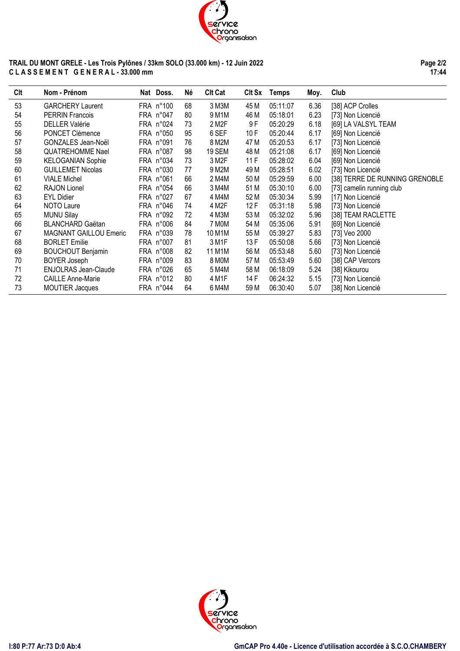

#### **TRAIL DU MONT GRELE - Les Trois Pylônes / 33km SOLO (33.000 km) - 12 Juin 2022 C L A S S E M E N T G E N E R A L - 33.000 mm**

**Page 2/2 17:44**

| Clt | Nom - Prénom                  | Nat Doss. | Né | <b>Clt Cat</b> | CIt Sx | <b>Temps</b> | Moy. | Club                           |
|-----|-------------------------------|-----------|----|----------------|--------|--------------|------|--------------------------------|
| 53  | <b>GARCHERY Laurent</b>       | FRA n°100 | 68 | 3 M3M          | 45 M   | 05:11:07     | 6.36 | [38] ACP Crolles               |
| 54  | <b>PERRIN Francois</b>        | FRA n°047 | 80 | 9 M1M          | 46 M   | 05:18:01     | 6.23 | [73] Non Licencié              |
| 55  | <b>DELLER Valérie</b>         | FRA n°024 | 73 | 2 M2F          | 9F     | 05:20:29     | 6.18 | [69] LA VALSYL TEAM            |
| 56  | PONCET Clémence               | FRA n°050 | 95 | 6 SEF          | 10F    | 05:20:44     | 6.17 | [69] Non Licencié              |
| 57  | GONZALES Jean-Noël            | FRA n°091 | 76 | 8 M2M          | 47 M   | 05:20:53     | 6.17 | [73] Non Licencié              |
| 58  | <b>QUATREHOMME Nael</b>       | FRA n°087 | 98 | <b>19 SEM</b>  | 48 M   | 05:21:08     | 6.17 | [69] Non Licencié              |
| 59  | <b>KELOGANIAN Sophie</b>      | FRA n°034 | 73 | 3 M2F          | 11F    | 05:28:02     | 6.04 | [69] Non Licencié              |
| 60  | <b>GUILLEMET Nicolas</b>      | FRA n°030 | 77 | 9 M2M          | 49 M   | 05:28:51     | 6.02 | [73] Non Licencié              |
| 61  | <b>VIALE Michel</b>           | FRA n°061 | 66 | 2 M4M          | 50 M   | 05:29:59     | 6.00 | [38] TERRE DE RUNNING GRENOBLE |
| 62  | RAJON Lionel                  | FRA n°054 | 66 | 3 M4M          | 51 M   | 05:30:10     | 6.00 | [73] camelin running club      |
| 63  | <b>EYL Didier</b>             | FRA n°027 | 67 | 4 M4M          | 52 M   | 05:30:34     | 5.99 | [17] Non Licencié              |
| 64  | NOTO Laure                    | FRA n°046 | 74 | 4 M2F          | 12F    | 05:31:18     | 5.98 | [73] Non Licencié              |
| 65  | <b>MUNU Silay</b>             | FRA n°092 | 72 | 4 M3M          | 53 M   | 05:32:02     | 5.96 | [38] TEAM RACLETTE             |
| 66  | <b>BLANCHARD Gaëtan</b>       | FRA n°006 | 84 | 7 MOM          | 54 M   | 05:35:06     | 5.91 | [69] Non Licencié              |
| 67  | <b>MAGNANT GAILLOU Emeric</b> | FRA n°039 | 78 | 10 M1M         | 55 M   | 05:39:27     | 5.83 | [73] Veo 2000                  |
| 68  | <b>BORLET Emilie</b>          | FRA n°007 | 81 | 3 M1F          | 13 F   | 05:50:08     | 5.66 | [73] Non Licencié              |
| 69  | <b>BOUCHOUT Benjamin</b>      | FRA n°008 | 82 | 11 M1M         | 56 M   | 05:53:48     | 5.60 | [73] Non Licencié              |
| 70  | <b>BOYER Joseph</b>           | FRA n°009 | 83 | 8 MOM          | 57 M   | 05:53:49     | 5.60 | [38] CAP Vercors               |
| 71  | <b>ENJOLRAS Jean-Claude</b>   | FRA n°026 | 65 | 5 M4M          | 58 M   | 06:18:09     | 5.24 | [38] Kikourou                  |
| 72  | <b>CAILLE Anne-Marie</b>      | FRA n°012 | 80 | 4 M1F          | 14 F   | 06:24:32     | 5.15 | [73] Non Licencié              |
| 73  | <b>MOUTIER Jacques</b>        | FRA n°044 | 64 | 6 M4M          | 59 M   | 06:30:40     | 5.07 | [38] Non Licencié              |

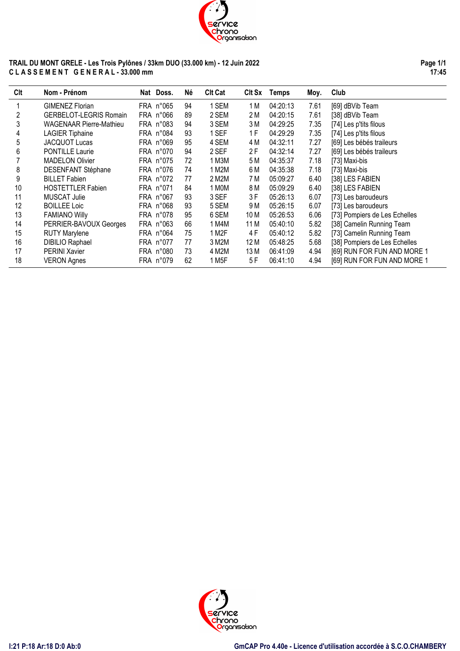

# **TRAIL DU MONT GRELE - Les Trois Pylônes / 33km DUO (33.000 km) - 12 Juin 2022 C L A S S E M E N T G E N E R A L - 33.000 mm**

**Page 1/1 17:45**

| Clt | Nom - Prénom                   | Nat Doss. | Né | <b>CIt Cat</b> | CIt Sx | <b>Temps</b> | Moy. | Club                          |
|-----|--------------------------------|-----------|----|----------------|--------|--------------|------|-------------------------------|
|     | <b>GIMENEZ Florian</b>         | FRA n°065 | 94 | <b>SEM</b>     | 1 M    | 04:20:13     | 7.61 | [69] dBVib Team               |
| 2   | <b>GERBELOT-LEGRIS Romain</b>  | FRA n°066 | 89 | 2 SEM          | 2 M    | 04:20:15     | 7.61 | [38] dBVib Team               |
| 3   | <b>WAGENAAR Pierre-Mathieu</b> | FRA n°083 | 94 | 3 SEM          | 3M     | 04:29:25     | 7.35 | [74] Les p'tits filous        |
| 4   | <b>LAGIER Tiphaine</b>         | FRA n°084 | 93 | 1 SEF          | 1 F    | 04:29:29     | 7.35 | [74] Les p'tits filous        |
| 5   | <b>JACQUOT Lucas</b>           | FRA n°069 | 95 | 4 SEM          | 4 M    | 04:32:11     | 7.27 | [69] Les bébés traileurs      |
| 6   | PONTILLE Laurie                | FRA n°070 | 94 | 2 SEF          | 2 F    | 04:32:14     | 7.27 | [69] Les bébés traileurs      |
|     | <b>MADELON Olivier</b>         | FRA n°075 | 72 | 1 M3M          | 5 M    | 04:35:37     | 7.18 | [73] Maxi-bis                 |
| 8   | DESENFANT Stéphane             | FRA n°076 | 74 | 1 M2M          | 6 M    | 04:35:38     | 7.18 | [73] Maxi-bis                 |
| 9   | <b>BILLET Fabien</b>           | FRA n°072 | 77 | 2 M2M          | 7 M    | 05:09:27     | 6.40 | [38] LES FABIEN               |
| 10  | <b>HOSTETTLER Fabien</b>       | FRA n°071 | 84 | 1 MOM          | 8 M    | 05:09:29     | 6.40 | [38] LES FABIEN               |
| 11  | <b>MUSCAT Julie</b>            | FRA n°067 | 93 | 3 SEF          | 3F     | 05:26:13     | 6.07 | [73] Les baroudeurs           |
| 12  | <b>BOILLEE Loic</b>            | FRA n°068 | 93 | 5 SEM          | 9 M    | 05:26:15     | 6.07 | [73] Les baroudeurs           |
| 13  | <b>FAMIANO Willy</b>           | FRA n°078 | 95 | 6 SEM          | 10 M   | 05:26:53     | 6.06 | [73] Pompiers de Les Echelles |
| 14  | PERRIER-BAVOUX Georges         | FRA n°063 | 66 | 1 M4M          | 11 M   | 05:40:10     | 5.82 | [38] Camelin Running Team     |
| 15  | <b>RUTY Marylene</b>           | FRA n°064 | 75 | 1 M2F          | 4 F    | 05:40:12     | 5.82 | [73] Camelin Running Team     |
| 16  | <b>DIBILIO Raphael</b>         | FRA n°077 | 77 | 3 M2M          | 12 M   | 05:48:25     | 5.68 | [38] Pompiers de Les Echelles |
| 17  | <b>PERINI Xavier</b>           | FRA n°080 | 73 | 4 M2M          | 13 M   | 06:41:09     | 4.94 | [69] RUN FOR FUN AND MORE 1   |
| 18  | <b>VERON Agnes</b>             | FRA n°079 | 62 | 1 M5F          | 5F     | 06:41:10     | 4.94 | [69] RUN FOR FUN AND MORE 1   |

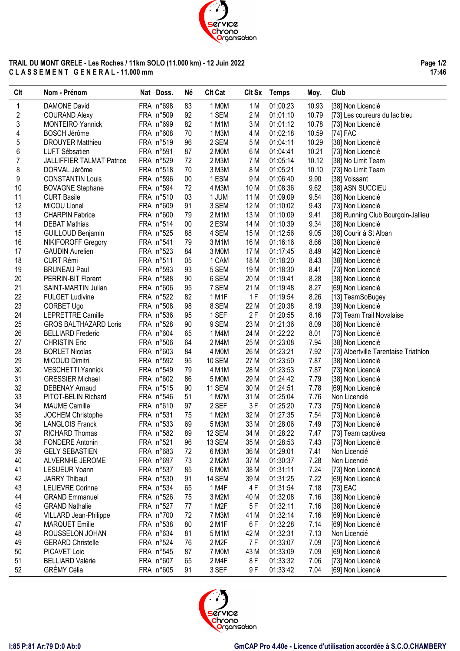

#### **TRAIL DU MONT GRELE - Les Roches / 11km SOLO (11.000 km) - 12 Juin 2022 C L A S S E M E N T G E N E R A L - 11.000 mm**

**Page 1/2 17:46**

 $\overline{\phantom{a}}$ 

| FRA n°698<br>1 MOM<br>1<br><b>DAMONE David</b><br>83<br>1 M<br>01:00:23<br>10.93<br>[38] Non Licencié<br>$\overline{\mathbf{c}}$<br>FRA n°509<br>92<br>1 SEM<br>2 M<br>01:01:10<br>10.79<br><b>COURAND Alexy</b><br>[73] Les coureurs du lac bleu<br>3<br>FRA n°699<br>82<br>3M<br><b>MONTEIRO Yannick</b><br>1 M1M<br>01:01:12<br>10.78<br>[73] Non Licencié<br>4<br>FRA n°608<br>70<br>1 M3M<br>4 M<br>01:02:18<br>10.59<br>BOSCH Jérôme<br>[74] FAC<br>5<br>FRA n°519<br>2 SEM<br><b>DROUYER Matthieu</b><br>96<br>5 M<br>01:04:11<br>10.29<br>[38] Non Licencié<br>6<br>FRA n°591<br>2 MOM<br>6 M<br>87<br>01:04:41<br>10.21<br>[73] Non Licencié<br>LUFT Sébsatien<br>$\overline{7}$<br>FRA n°529<br>2 M3M<br>7 M<br>10.12<br><b>JALLIFFIER TALMAT Patrice</b><br>72<br>01:05:14<br>[38] No Limit Team<br>8<br>FRA n°518<br>70<br>3 M3M<br>8 M<br>01:05:21<br>10.10<br>[73] No Limit Team<br>DORVAL Jérôme<br>9<br>FRA n°596<br>1 ESM<br>9 M<br>01:06:40<br>9.90<br><b>CONSTANTIN Louis</b><br>$00\,$<br>[38] Voissant<br>10<br>FRA n°594<br>72<br>4 M3M<br>10 M<br>9.62<br>01:08:36<br>[38] ASN SUCCIEU<br><b>BOVAGNE Stephane</b><br>11<br>FRA n°510<br>03<br>1 JUM<br>11 M<br>9.54<br><b>CURT Basile</b><br>01:09:09<br>[38] Non Licencié<br>12<br>3 SEM<br>FRA n°609<br>91<br>12 M<br>9.43<br>MICOU Lionel<br>01:10:02<br>[73] Non Licencié<br>13<br>FRA n°600<br>2 M1M<br>13 M<br>01:10:09<br>9.41<br><b>CHARPIN Fabrice</b><br>79<br>[38] Running Club Bourgoin-Jallieu<br>14<br>9.34<br>FRA n°514<br>$00\,$<br>2 ESM<br>14 M<br>01:10:39<br><b>DEBAT Mathias</b><br>[38] Non Licencié<br>15<br>FRA n°525<br>88<br>4 SEM<br>15 M<br>9.05<br>01:12:56<br>[38] Courir à St Alban<br><b>GUILLOUD Benjamin</b><br>16<br>FRA n°541<br>79<br>3 M1M<br>16 M<br>01:16:16<br>8.66<br>NIKIFOROFF Gregory<br>[38] Non Licencié<br>17<br>FRA n°523<br>84<br>8.49<br><b>GAUDIN Aurelien</b><br>3 MOM<br>17 M<br>01:17:45<br>[42] Non Licencié<br>18<br>FRA n°511<br>18 M<br>8.43<br><b>CURT Rémi</b><br>05<br>1 CAM<br>01:18:20<br>[38] Non Licencié<br>19<br>FRA n°593<br>93<br>5 SEM<br>19 M<br>8.41<br><b>BRUNEAU Paul</b><br>01:18:30<br>[73] Non Licencié<br>FRA n°588<br>20<br>90<br>6 SEM<br>20 M<br>8.28<br>PERRIN-BIT Florent<br>01:19:41<br>[38] Non Licencié<br>21<br>FRA n°606<br>95<br>7 SEM<br>21 M<br>8.27<br>SAINT-MARTIN Julian<br>01:19:48<br>[69] Non Licencié<br>22<br>FRA n°522<br>82<br>1F<br>8.26<br><b>FULGET Ludivine</b><br>1 M1F<br>01:19:54<br>[13] TeamSoBugey<br>23<br>FRA n°508<br>98<br>22 M<br>8.19<br>CORBET Ugo<br>8 SEM<br>01:20:38<br>[39] Non Licencié<br>24<br>2F<br>LEPRETTRE Camille<br>FRA n°536<br>95<br>1 SEF<br>01:20:55<br>8.16<br>[73] Team Trail Novalaise<br>25<br>FRA n°528<br>9 SEM<br>23 M<br>01:21:36<br>8.09<br>90<br>[38] Non Licencié<br><b>GROS BALTHAZARD Loris</b><br>26<br>FRA n°604<br>24 M<br>01:22:22<br>8.01<br><b>BELLIARD Frederic</b><br>65<br>1 M4M<br>[73] Non Licencié<br>27<br>FRA n°506<br>64<br>2 M4M<br>25 M<br>01:23:08<br>7.94<br><b>CHRISTIN Eric</b><br>[38] Non Licencié<br>28<br>FRA n°603<br>26 M<br>01:23:21<br><b>BORLET Nicolas</b><br>84<br>4 MOM<br>7.92<br>[73] Albertville Tarentaise Triathlon<br>29<br>MICOUD Dimitri<br>FRA n°592<br>95<br><b>10 SEM</b><br>27 M<br>01:23:50<br>7.87<br>[38] Non Licencié<br>30<br>FRA n°549<br>28 M<br><b>VESCHETTI Yannick</b><br>79<br>4 M1M<br>01:23:53<br>7.87<br>[73] Non Licencié<br>31<br>FRA n°602<br>86<br>29 M<br><b>GRESSIER Michael</b><br>5 M0M<br>01:24:42<br>7.79<br>[38] Non Licencié<br>32<br>FRA n°515<br>11 SEM<br>30 M<br><b>DEBENAY Arnaud</b><br>90<br>01:24:51<br>7.78<br>[69] Non Licencié<br>33<br>FRA n°546<br>51<br>31 M<br>PITOT-BELIN Richard<br>1 M7M<br>01:25:04<br>7.76<br>Non Licencié<br>34<br>FRA n°610<br>3F<br>01:25:20<br><b>MAUME Camille</b><br>97<br>2 SEF<br>7.73<br>[75] Non Licencié<br>35<br>FRA n°531<br>1 M2M<br>32 M<br>01:27:35<br>JOCHEM Christophe<br>75<br>7.54<br>[73] Non Licencié<br>36<br>FRA n°533<br>33 M<br><b>LANGLOIS Franck</b><br>69<br>5 M3M<br>01:28:06<br>7.49<br>[73] Non Licencié<br>37<br>FRA n°582<br>89<br>12 SEM<br>34 M<br>01:28:22<br>RICHARD Thomas<br>7.47<br>[73] Team captivea<br>38<br>FRA n°521<br>13 SEM<br>01:28:53<br><b>FONDERE Antonin</b><br>96<br>35 M<br>[73] Non Licencié<br>7.43<br>39<br><b>GELY SEBASTIEN</b><br>FRA n°683<br>6 M3M<br>36 M<br>01:29:01<br>72<br>7.41<br>Non Licencié<br>40<br>FRA n°697<br>2 M2M<br>37 M<br>01:30:37<br>7.28<br>Non Licencié<br>ALVERNHE JEROME<br>73<br>41<br>FRA n°537<br>6 MOM<br>38 M<br>01:31:11<br>7.24<br><b>LESUEUR Yoann</b><br>85<br>[73] Non Licencié<br>42<br>FRA n°530<br>14 SEM<br><b>JARRY Thibaut</b><br>91<br>39 M<br>01:31:25<br>7.22<br>[69] Non Licencié<br>43<br>1 M4F<br>FRA n°534<br>4 F<br>7.18<br>[73] EAC<br><b>LELIEVRE Corinne</b><br>65<br>01:31:54<br>44<br>FRA n°526<br>75<br>3 M2M<br>7.16<br><b>GRAND Emmanuel</b><br>40 M<br>01:32:08<br>[38] Non Licencié<br>45<br>FRA n°527<br>1 M2F<br>5F<br>7.16<br><b>GRAND Nathalie</b><br>77<br>01:32:11<br>[38] Non Licencié<br>46<br>FRA n°700<br>72<br>7 M3M<br>01:32:14<br>7.16<br><b>VILLARD Jean-Philippe</b><br>41 M<br>[69] Non Licencié<br>47<br>FRA n°538<br>80<br>2 M1F<br>6F<br><b>MARQUET Emilie</b><br>01:32:28<br>7.14<br>[69] Non Licencié<br>48<br>FRA n°634<br>81<br>42 M<br>01:32:31<br>7.13<br>Non Licencié<br>ROUSSELON JOHAN<br>5 M1M<br>49<br>FRA n°524<br>2 M2F<br>7 F<br><b>GERARD Christelle</b><br>76<br>01:33:07<br>7.09<br>[73] Non Licencié<br>50<br>PICAVET Loic<br>FRA n°545<br>87<br>7 MOM<br>43 M<br>01:33:09<br>7.09<br>[69] Non Licencié<br>51<br><b>BELLIARD Valérie</b><br>FRA n°607<br>2 M4F<br>8F<br>65<br>01:33:32<br>7.06<br>[73] Non Licencié<br>52<br><b>GRÉMY Célia</b><br>FRA n°605<br>91<br>3 SEF<br>9 F<br>01:33:42<br>7.04<br>[69] Non Licencié | Clt | Nom - Prénom | Nat Doss. | Né | <b>CIt Cat</b> | <b>CIt Sx</b> | <b>Temps</b> | Moy. | Club |
|----------------------------------------------------------------------------------------------------------------------------------------------------------------------------------------------------------------------------------------------------------------------------------------------------------------------------------------------------------------------------------------------------------------------------------------------------------------------------------------------------------------------------------------------------------------------------------------------------------------------------------------------------------------------------------------------------------------------------------------------------------------------------------------------------------------------------------------------------------------------------------------------------------------------------------------------------------------------------------------------------------------------------------------------------------------------------------------------------------------------------------------------------------------------------------------------------------------------------------------------------------------------------------------------------------------------------------------------------------------------------------------------------------------------------------------------------------------------------------------------------------------------------------------------------------------------------------------------------------------------------------------------------------------------------------------------------------------------------------------------------------------------------------------------------------------------------------------------------------------------------------------------------------------------------------------------------------------------------------------------------------------------------------------------------------------------------------------------------------------------------------------------------------------------------------------------------------------------------------------------------------------------------------------------------------------------------------------------------------------------------------------------------------------------------------------------------------------------------------------------------------------------------------------------------------------------------------------------------------------------------------------------------------------------------------------------------------------------------------------------------------------------------------------------------------------------------------------------------------------------------------------------------------------------------------------------------------------------------------------------------------------------------------------------------------------------------------------------------------------------------------------------------------------------------------------------------------------------------------------------------------------------------------------------------------------------------------------------------------------------------------------------------------------------------------------------------------------------------------------------------------------------------------------------------------------------------------------------------------------------------------------------------------------------------------------------------------------------------------------------------------------------------------------------------------------------------------------------------------------------------------------------------------------------------------------------------------------------------------------------------------------------------------------------------------------------------------------------------------------------------------------------------------------------------------------------------------------------------------------------------------------------------------------------------------------------------------------------------------------------------------------------------------------------------------------------------------------------------------------------------------------------------------------------------------------------------------------------------------------------------------------------------------------------------------------------------------------------------------------------------------------------------------------------------------------------------------------------------------------------------------------------------------------------------------------------------------------------------------------------------------------------------------------------------------------------------------------------------------------------------------------------------------------------------------------------------------------------------------------------------------------------------------------------------------------------------------------------------------------------------------------------------------------------------------------------------------------------------------------------------------------------------------------------------------------------------------------------------------------------------------------------------------------------------------------------------------------------------------------------------------------------------------------------------------------------------------|-----|--------------|-----------|----|----------------|---------------|--------------|------|------|
|                                                                                                                                                                                                                                                                                                                                                                                                                                                                                                                                                                                                                                                                                                                                                                                                                                                                                                                                                                                                                                                                                                                                                                                                                                                                                                                                                                                                                                                                                                                                                                                                                                                                                                                                                                                                                                                                                                                                                                                                                                                                                                                                                                                                                                                                                                                                                                                                                                                                                                                                                                                                                                                                                                                                                                                                                                                                                                                                                                                                                                                                                                                                                                                                                                                                                                                                                                                                                                                                                                                                                                                                                                                                                                                                                                                                                                                                                                                                                                                                                                                                                                                                                                                                                                                                                                                                                                                                                                                                                                                                                                                                                                                                                                                                                                                                                                                                                                                                                                                                                                                                                                                                                                                                                                                                                                                                                                                                                                                                                                                                                                                                                                                                                                                                                                                                                                  |     |              |           |    |                |               |              |      |      |
|                                                                                                                                                                                                                                                                                                                                                                                                                                                                                                                                                                                                                                                                                                                                                                                                                                                                                                                                                                                                                                                                                                                                                                                                                                                                                                                                                                                                                                                                                                                                                                                                                                                                                                                                                                                                                                                                                                                                                                                                                                                                                                                                                                                                                                                                                                                                                                                                                                                                                                                                                                                                                                                                                                                                                                                                                                                                                                                                                                                                                                                                                                                                                                                                                                                                                                                                                                                                                                                                                                                                                                                                                                                                                                                                                                                                                                                                                                                                                                                                                                                                                                                                                                                                                                                                                                                                                                                                                                                                                                                                                                                                                                                                                                                                                                                                                                                                                                                                                                                                                                                                                                                                                                                                                                                                                                                                                                                                                                                                                                                                                                                                                                                                                                                                                                                                                                  |     |              |           |    |                |               |              |      |      |
|                                                                                                                                                                                                                                                                                                                                                                                                                                                                                                                                                                                                                                                                                                                                                                                                                                                                                                                                                                                                                                                                                                                                                                                                                                                                                                                                                                                                                                                                                                                                                                                                                                                                                                                                                                                                                                                                                                                                                                                                                                                                                                                                                                                                                                                                                                                                                                                                                                                                                                                                                                                                                                                                                                                                                                                                                                                                                                                                                                                                                                                                                                                                                                                                                                                                                                                                                                                                                                                                                                                                                                                                                                                                                                                                                                                                                                                                                                                                                                                                                                                                                                                                                                                                                                                                                                                                                                                                                                                                                                                                                                                                                                                                                                                                                                                                                                                                                                                                                                                                                                                                                                                                                                                                                                                                                                                                                                                                                                                                                                                                                                                                                                                                                                                                                                                                                                  |     |              |           |    |                |               |              |      |      |
|                                                                                                                                                                                                                                                                                                                                                                                                                                                                                                                                                                                                                                                                                                                                                                                                                                                                                                                                                                                                                                                                                                                                                                                                                                                                                                                                                                                                                                                                                                                                                                                                                                                                                                                                                                                                                                                                                                                                                                                                                                                                                                                                                                                                                                                                                                                                                                                                                                                                                                                                                                                                                                                                                                                                                                                                                                                                                                                                                                                                                                                                                                                                                                                                                                                                                                                                                                                                                                                                                                                                                                                                                                                                                                                                                                                                                                                                                                                                                                                                                                                                                                                                                                                                                                                                                                                                                                                                                                                                                                                                                                                                                                                                                                                                                                                                                                                                                                                                                                                                                                                                                                                                                                                                                                                                                                                                                                                                                                                                                                                                                                                                                                                                                                                                                                                                                                  |     |              |           |    |                |               |              |      |      |
|                                                                                                                                                                                                                                                                                                                                                                                                                                                                                                                                                                                                                                                                                                                                                                                                                                                                                                                                                                                                                                                                                                                                                                                                                                                                                                                                                                                                                                                                                                                                                                                                                                                                                                                                                                                                                                                                                                                                                                                                                                                                                                                                                                                                                                                                                                                                                                                                                                                                                                                                                                                                                                                                                                                                                                                                                                                                                                                                                                                                                                                                                                                                                                                                                                                                                                                                                                                                                                                                                                                                                                                                                                                                                                                                                                                                                                                                                                                                                                                                                                                                                                                                                                                                                                                                                                                                                                                                                                                                                                                                                                                                                                                                                                                                                                                                                                                                                                                                                                                                                                                                                                                                                                                                                                                                                                                                                                                                                                                                                                                                                                                                                                                                                                                                                                                                                                  |     |              |           |    |                |               |              |      |      |
|                                                                                                                                                                                                                                                                                                                                                                                                                                                                                                                                                                                                                                                                                                                                                                                                                                                                                                                                                                                                                                                                                                                                                                                                                                                                                                                                                                                                                                                                                                                                                                                                                                                                                                                                                                                                                                                                                                                                                                                                                                                                                                                                                                                                                                                                                                                                                                                                                                                                                                                                                                                                                                                                                                                                                                                                                                                                                                                                                                                                                                                                                                                                                                                                                                                                                                                                                                                                                                                                                                                                                                                                                                                                                                                                                                                                                                                                                                                                                                                                                                                                                                                                                                                                                                                                                                                                                                                                                                                                                                                                                                                                                                                                                                                                                                                                                                                                                                                                                                                                                                                                                                                                                                                                                                                                                                                                                                                                                                                                                                                                                                                                                                                                                                                                                                                                                                  |     |              |           |    |                |               |              |      |      |
|                                                                                                                                                                                                                                                                                                                                                                                                                                                                                                                                                                                                                                                                                                                                                                                                                                                                                                                                                                                                                                                                                                                                                                                                                                                                                                                                                                                                                                                                                                                                                                                                                                                                                                                                                                                                                                                                                                                                                                                                                                                                                                                                                                                                                                                                                                                                                                                                                                                                                                                                                                                                                                                                                                                                                                                                                                                                                                                                                                                                                                                                                                                                                                                                                                                                                                                                                                                                                                                                                                                                                                                                                                                                                                                                                                                                                                                                                                                                                                                                                                                                                                                                                                                                                                                                                                                                                                                                                                                                                                                                                                                                                                                                                                                                                                                                                                                                                                                                                                                                                                                                                                                                                                                                                                                                                                                                                                                                                                                                                                                                                                                                                                                                                                                                                                                                                                  |     |              |           |    |                |               |              |      |      |
|                                                                                                                                                                                                                                                                                                                                                                                                                                                                                                                                                                                                                                                                                                                                                                                                                                                                                                                                                                                                                                                                                                                                                                                                                                                                                                                                                                                                                                                                                                                                                                                                                                                                                                                                                                                                                                                                                                                                                                                                                                                                                                                                                                                                                                                                                                                                                                                                                                                                                                                                                                                                                                                                                                                                                                                                                                                                                                                                                                                                                                                                                                                                                                                                                                                                                                                                                                                                                                                                                                                                                                                                                                                                                                                                                                                                                                                                                                                                                                                                                                                                                                                                                                                                                                                                                                                                                                                                                                                                                                                                                                                                                                                                                                                                                                                                                                                                                                                                                                                                                                                                                                                                                                                                                                                                                                                                                                                                                                                                                                                                                                                                                                                                                                                                                                                                                                  |     |              |           |    |                |               |              |      |      |
|                                                                                                                                                                                                                                                                                                                                                                                                                                                                                                                                                                                                                                                                                                                                                                                                                                                                                                                                                                                                                                                                                                                                                                                                                                                                                                                                                                                                                                                                                                                                                                                                                                                                                                                                                                                                                                                                                                                                                                                                                                                                                                                                                                                                                                                                                                                                                                                                                                                                                                                                                                                                                                                                                                                                                                                                                                                                                                                                                                                                                                                                                                                                                                                                                                                                                                                                                                                                                                                                                                                                                                                                                                                                                                                                                                                                                                                                                                                                                                                                                                                                                                                                                                                                                                                                                                                                                                                                                                                                                                                                                                                                                                                                                                                                                                                                                                                                                                                                                                                                                                                                                                                                                                                                                                                                                                                                                                                                                                                                                                                                                                                                                                                                                                                                                                                                                                  |     |              |           |    |                |               |              |      |      |
|                                                                                                                                                                                                                                                                                                                                                                                                                                                                                                                                                                                                                                                                                                                                                                                                                                                                                                                                                                                                                                                                                                                                                                                                                                                                                                                                                                                                                                                                                                                                                                                                                                                                                                                                                                                                                                                                                                                                                                                                                                                                                                                                                                                                                                                                                                                                                                                                                                                                                                                                                                                                                                                                                                                                                                                                                                                                                                                                                                                                                                                                                                                                                                                                                                                                                                                                                                                                                                                                                                                                                                                                                                                                                                                                                                                                                                                                                                                                                                                                                                                                                                                                                                                                                                                                                                                                                                                                                                                                                                                                                                                                                                                                                                                                                                                                                                                                                                                                                                                                                                                                                                                                                                                                                                                                                                                                                                                                                                                                                                                                                                                                                                                                                                                                                                                                                                  |     |              |           |    |                |               |              |      |      |
|                                                                                                                                                                                                                                                                                                                                                                                                                                                                                                                                                                                                                                                                                                                                                                                                                                                                                                                                                                                                                                                                                                                                                                                                                                                                                                                                                                                                                                                                                                                                                                                                                                                                                                                                                                                                                                                                                                                                                                                                                                                                                                                                                                                                                                                                                                                                                                                                                                                                                                                                                                                                                                                                                                                                                                                                                                                                                                                                                                                                                                                                                                                                                                                                                                                                                                                                                                                                                                                                                                                                                                                                                                                                                                                                                                                                                                                                                                                                                                                                                                                                                                                                                                                                                                                                                                                                                                                                                                                                                                                                                                                                                                                                                                                                                                                                                                                                                                                                                                                                                                                                                                                                                                                                                                                                                                                                                                                                                                                                                                                                                                                                                                                                                                                                                                                                                                  |     |              |           |    |                |               |              |      |      |
|                                                                                                                                                                                                                                                                                                                                                                                                                                                                                                                                                                                                                                                                                                                                                                                                                                                                                                                                                                                                                                                                                                                                                                                                                                                                                                                                                                                                                                                                                                                                                                                                                                                                                                                                                                                                                                                                                                                                                                                                                                                                                                                                                                                                                                                                                                                                                                                                                                                                                                                                                                                                                                                                                                                                                                                                                                                                                                                                                                                                                                                                                                                                                                                                                                                                                                                                                                                                                                                                                                                                                                                                                                                                                                                                                                                                                                                                                                                                                                                                                                                                                                                                                                                                                                                                                                                                                                                                                                                                                                                                                                                                                                                                                                                                                                                                                                                                                                                                                                                                                                                                                                                                                                                                                                                                                                                                                                                                                                                                                                                                                                                                                                                                                                                                                                                                                                  |     |              |           |    |                |               |              |      |      |
|                                                                                                                                                                                                                                                                                                                                                                                                                                                                                                                                                                                                                                                                                                                                                                                                                                                                                                                                                                                                                                                                                                                                                                                                                                                                                                                                                                                                                                                                                                                                                                                                                                                                                                                                                                                                                                                                                                                                                                                                                                                                                                                                                                                                                                                                                                                                                                                                                                                                                                                                                                                                                                                                                                                                                                                                                                                                                                                                                                                                                                                                                                                                                                                                                                                                                                                                                                                                                                                                                                                                                                                                                                                                                                                                                                                                                                                                                                                                                                                                                                                                                                                                                                                                                                                                                                                                                                                                                                                                                                                                                                                                                                                                                                                                                                                                                                                                                                                                                                                                                                                                                                                                                                                                                                                                                                                                                                                                                                                                                                                                                                                                                                                                                                                                                                                                                                  |     |              |           |    |                |               |              |      |      |
|                                                                                                                                                                                                                                                                                                                                                                                                                                                                                                                                                                                                                                                                                                                                                                                                                                                                                                                                                                                                                                                                                                                                                                                                                                                                                                                                                                                                                                                                                                                                                                                                                                                                                                                                                                                                                                                                                                                                                                                                                                                                                                                                                                                                                                                                                                                                                                                                                                                                                                                                                                                                                                                                                                                                                                                                                                                                                                                                                                                                                                                                                                                                                                                                                                                                                                                                                                                                                                                                                                                                                                                                                                                                                                                                                                                                                                                                                                                                                                                                                                                                                                                                                                                                                                                                                                                                                                                                                                                                                                                                                                                                                                                                                                                                                                                                                                                                                                                                                                                                                                                                                                                                                                                                                                                                                                                                                                                                                                                                                                                                                                                                                                                                                                                                                                                                                                  |     |              |           |    |                |               |              |      |      |
|                                                                                                                                                                                                                                                                                                                                                                                                                                                                                                                                                                                                                                                                                                                                                                                                                                                                                                                                                                                                                                                                                                                                                                                                                                                                                                                                                                                                                                                                                                                                                                                                                                                                                                                                                                                                                                                                                                                                                                                                                                                                                                                                                                                                                                                                                                                                                                                                                                                                                                                                                                                                                                                                                                                                                                                                                                                                                                                                                                                                                                                                                                                                                                                                                                                                                                                                                                                                                                                                                                                                                                                                                                                                                                                                                                                                                                                                                                                                                                                                                                                                                                                                                                                                                                                                                                                                                                                                                                                                                                                                                                                                                                                                                                                                                                                                                                                                                                                                                                                                                                                                                                                                                                                                                                                                                                                                                                                                                                                                                                                                                                                                                                                                                                                                                                                                                                  |     |              |           |    |                |               |              |      |      |
|                                                                                                                                                                                                                                                                                                                                                                                                                                                                                                                                                                                                                                                                                                                                                                                                                                                                                                                                                                                                                                                                                                                                                                                                                                                                                                                                                                                                                                                                                                                                                                                                                                                                                                                                                                                                                                                                                                                                                                                                                                                                                                                                                                                                                                                                                                                                                                                                                                                                                                                                                                                                                                                                                                                                                                                                                                                                                                                                                                                                                                                                                                                                                                                                                                                                                                                                                                                                                                                                                                                                                                                                                                                                                                                                                                                                                                                                                                                                                                                                                                                                                                                                                                                                                                                                                                                                                                                                                                                                                                                                                                                                                                                                                                                                                                                                                                                                                                                                                                                                                                                                                                                                                                                                                                                                                                                                                                                                                                                                                                                                                                                                                                                                                                                                                                                                                                  |     |              |           |    |                |               |              |      |      |
|                                                                                                                                                                                                                                                                                                                                                                                                                                                                                                                                                                                                                                                                                                                                                                                                                                                                                                                                                                                                                                                                                                                                                                                                                                                                                                                                                                                                                                                                                                                                                                                                                                                                                                                                                                                                                                                                                                                                                                                                                                                                                                                                                                                                                                                                                                                                                                                                                                                                                                                                                                                                                                                                                                                                                                                                                                                                                                                                                                                                                                                                                                                                                                                                                                                                                                                                                                                                                                                                                                                                                                                                                                                                                                                                                                                                                                                                                                                                                                                                                                                                                                                                                                                                                                                                                                                                                                                                                                                                                                                                                                                                                                                                                                                                                                                                                                                                                                                                                                                                                                                                                                                                                                                                                                                                                                                                                                                                                                                                                                                                                                                                                                                                                                                                                                                                                                  |     |              |           |    |                |               |              |      |      |
|                                                                                                                                                                                                                                                                                                                                                                                                                                                                                                                                                                                                                                                                                                                                                                                                                                                                                                                                                                                                                                                                                                                                                                                                                                                                                                                                                                                                                                                                                                                                                                                                                                                                                                                                                                                                                                                                                                                                                                                                                                                                                                                                                                                                                                                                                                                                                                                                                                                                                                                                                                                                                                                                                                                                                                                                                                                                                                                                                                                                                                                                                                                                                                                                                                                                                                                                                                                                                                                                                                                                                                                                                                                                                                                                                                                                                                                                                                                                                                                                                                                                                                                                                                                                                                                                                                                                                                                                                                                                                                                                                                                                                                                                                                                                                                                                                                                                                                                                                                                                                                                                                                                                                                                                                                                                                                                                                                                                                                                                                                                                                                                                                                                                                                                                                                                                                                  |     |              |           |    |                |               |              |      |      |
|                                                                                                                                                                                                                                                                                                                                                                                                                                                                                                                                                                                                                                                                                                                                                                                                                                                                                                                                                                                                                                                                                                                                                                                                                                                                                                                                                                                                                                                                                                                                                                                                                                                                                                                                                                                                                                                                                                                                                                                                                                                                                                                                                                                                                                                                                                                                                                                                                                                                                                                                                                                                                                                                                                                                                                                                                                                                                                                                                                                                                                                                                                                                                                                                                                                                                                                                                                                                                                                                                                                                                                                                                                                                                                                                                                                                                                                                                                                                                                                                                                                                                                                                                                                                                                                                                                                                                                                                                                                                                                                                                                                                                                                                                                                                                                                                                                                                                                                                                                                                                                                                                                                                                                                                                                                                                                                                                                                                                                                                                                                                                                                                                                                                                                                                                                                                                                  |     |              |           |    |                |               |              |      |      |
|                                                                                                                                                                                                                                                                                                                                                                                                                                                                                                                                                                                                                                                                                                                                                                                                                                                                                                                                                                                                                                                                                                                                                                                                                                                                                                                                                                                                                                                                                                                                                                                                                                                                                                                                                                                                                                                                                                                                                                                                                                                                                                                                                                                                                                                                                                                                                                                                                                                                                                                                                                                                                                                                                                                                                                                                                                                                                                                                                                                                                                                                                                                                                                                                                                                                                                                                                                                                                                                                                                                                                                                                                                                                                                                                                                                                                                                                                                                                                                                                                                                                                                                                                                                                                                                                                                                                                                                                                                                                                                                                                                                                                                                                                                                                                                                                                                                                                                                                                                                                                                                                                                                                                                                                                                                                                                                                                                                                                                                                                                                                                                                                                                                                                                                                                                                                                                  |     |              |           |    |                |               |              |      |      |
|                                                                                                                                                                                                                                                                                                                                                                                                                                                                                                                                                                                                                                                                                                                                                                                                                                                                                                                                                                                                                                                                                                                                                                                                                                                                                                                                                                                                                                                                                                                                                                                                                                                                                                                                                                                                                                                                                                                                                                                                                                                                                                                                                                                                                                                                                                                                                                                                                                                                                                                                                                                                                                                                                                                                                                                                                                                                                                                                                                                                                                                                                                                                                                                                                                                                                                                                                                                                                                                                                                                                                                                                                                                                                                                                                                                                                                                                                                                                                                                                                                                                                                                                                                                                                                                                                                                                                                                                                                                                                                                                                                                                                                                                                                                                                                                                                                                                                                                                                                                                                                                                                                                                                                                                                                                                                                                                                                                                                                                                                                                                                                                                                                                                                                                                                                                                                                  |     |              |           |    |                |               |              |      |      |
|                                                                                                                                                                                                                                                                                                                                                                                                                                                                                                                                                                                                                                                                                                                                                                                                                                                                                                                                                                                                                                                                                                                                                                                                                                                                                                                                                                                                                                                                                                                                                                                                                                                                                                                                                                                                                                                                                                                                                                                                                                                                                                                                                                                                                                                                                                                                                                                                                                                                                                                                                                                                                                                                                                                                                                                                                                                                                                                                                                                                                                                                                                                                                                                                                                                                                                                                                                                                                                                                                                                                                                                                                                                                                                                                                                                                                                                                                                                                                                                                                                                                                                                                                                                                                                                                                                                                                                                                                                                                                                                                                                                                                                                                                                                                                                                                                                                                                                                                                                                                                                                                                                                                                                                                                                                                                                                                                                                                                                                                                                                                                                                                                                                                                                                                                                                                                                  |     |              |           |    |                |               |              |      |      |
|                                                                                                                                                                                                                                                                                                                                                                                                                                                                                                                                                                                                                                                                                                                                                                                                                                                                                                                                                                                                                                                                                                                                                                                                                                                                                                                                                                                                                                                                                                                                                                                                                                                                                                                                                                                                                                                                                                                                                                                                                                                                                                                                                                                                                                                                                                                                                                                                                                                                                                                                                                                                                                                                                                                                                                                                                                                                                                                                                                                                                                                                                                                                                                                                                                                                                                                                                                                                                                                                                                                                                                                                                                                                                                                                                                                                                                                                                                                                                                                                                                                                                                                                                                                                                                                                                                                                                                                                                                                                                                                                                                                                                                                                                                                                                                                                                                                                                                                                                                                                                                                                                                                                                                                                                                                                                                                                                                                                                                                                                                                                                                                                                                                                                                                                                                                                                                  |     |              |           |    |                |               |              |      |      |
|                                                                                                                                                                                                                                                                                                                                                                                                                                                                                                                                                                                                                                                                                                                                                                                                                                                                                                                                                                                                                                                                                                                                                                                                                                                                                                                                                                                                                                                                                                                                                                                                                                                                                                                                                                                                                                                                                                                                                                                                                                                                                                                                                                                                                                                                                                                                                                                                                                                                                                                                                                                                                                                                                                                                                                                                                                                                                                                                                                                                                                                                                                                                                                                                                                                                                                                                                                                                                                                                                                                                                                                                                                                                                                                                                                                                                                                                                                                                                                                                                                                                                                                                                                                                                                                                                                                                                                                                                                                                                                                                                                                                                                                                                                                                                                                                                                                                                                                                                                                                                                                                                                                                                                                                                                                                                                                                                                                                                                                                                                                                                                                                                                                                                                                                                                                                                                  |     |              |           |    |                |               |              |      |      |
|                                                                                                                                                                                                                                                                                                                                                                                                                                                                                                                                                                                                                                                                                                                                                                                                                                                                                                                                                                                                                                                                                                                                                                                                                                                                                                                                                                                                                                                                                                                                                                                                                                                                                                                                                                                                                                                                                                                                                                                                                                                                                                                                                                                                                                                                                                                                                                                                                                                                                                                                                                                                                                                                                                                                                                                                                                                                                                                                                                                                                                                                                                                                                                                                                                                                                                                                                                                                                                                                                                                                                                                                                                                                                                                                                                                                                                                                                                                                                                                                                                                                                                                                                                                                                                                                                                                                                                                                                                                                                                                                                                                                                                                                                                                                                                                                                                                                                                                                                                                                                                                                                                                                                                                                                                                                                                                                                                                                                                                                                                                                                                                                                                                                                                                                                                                                                                  |     |              |           |    |                |               |              |      |      |
|                                                                                                                                                                                                                                                                                                                                                                                                                                                                                                                                                                                                                                                                                                                                                                                                                                                                                                                                                                                                                                                                                                                                                                                                                                                                                                                                                                                                                                                                                                                                                                                                                                                                                                                                                                                                                                                                                                                                                                                                                                                                                                                                                                                                                                                                                                                                                                                                                                                                                                                                                                                                                                                                                                                                                                                                                                                                                                                                                                                                                                                                                                                                                                                                                                                                                                                                                                                                                                                                                                                                                                                                                                                                                                                                                                                                                                                                                                                                                                                                                                                                                                                                                                                                                                                                                                                                                                                                                                                                                                                                                                                                                                                                                                                                                                                                                                                                                                                                                                                                                                                                                                                                                                                                                                                                                                                                                                                                                                                                                                                                                                                                                                                                                                                                                                                                                                  |     |              |           |    |                |               |              |      |      |
|                                                                                                                                                                                                                                                                                                                                                                                                                                                                                                                                                                                                                                                                                                                                                                                                                                                                                                                                                                                                                                                                                                                                                                                                                                                                                                                                                                                                                                                                                                                                                                                                                                                                                                                                                                                                                                                                                                                                                                                                                                                                                                                                                                                                                                                                                                                                                                                                                                                                                                                                                                                                                                                                                                                                                                                                                                                                                                                                                                                                                                                                                                                                                                                                                                                                                                                                                                                                                                                                                                                                                                                                                                                                                                                                                                                                                                                                                                                                                                                                                                                                                                                                                                                                                                                                                                                                                                                                                                                                                                                                                                                                                                                                                                                                                                                                                                                                                                                                                                                                                                                                                                                                                                                                                                                                                                                                                                                                                                                                                                                                                                                                                                                                                                                                                                                                                                  |     |              |           |    |                |               |              |      |      |
|                                                                                                                                                                                                                                                                                                                                                                                                                                                                                                                                                                                                                                                                                                                                                                                                                                                                                                                                                                                                                                                                                                                                                                                                                                                                                                                                                                                                                                                                                                                                                                                                                                                                                                                                                                                                                                                                                                                                                                                                                                                                                                                                                                                                                                                                                                                                                                                                                                                                                                                                                                                                                                                                                                                                                                                                                                                                                                                                                                                                                                                                                                                                                                                                                                                                                                                                                                                                                                                                                                                                                                                                                                                                                                                                                                                                                                                                                                                                                                                                                                                                                                                                                                                                                                                                                                                                                                                                                                                                                                                                                                                                                                                                                                                                                                                                                                                                                                                                                                                                                                                                                                                                                                                                                                                                                                                                                                                                                                                                                                                                                                                                                                                                                                                                                                                                                                  |     |              |           |    |                |               |              |      |      |
|                                                                                                                                                                                                                                                                                                                                                                                                                                                                                                                                                                                                                                                                                                                                                                                                                                                                                                                                                                                                                                                                                                                                                                                                                                                                                                                                                                                                                                                                                                                                                                                                                                                                                                                                                                                                                                                                                                                                                                                                                                                                                                                                                                                                                                                                                                                                                                                                                                                                                                                                                                                                                                                                                                                                                                                                                                                                                                                                                                                                                                                                                                                                                                                                                                                                                                                                                                                                                                                                                                                                                                                                                                                                                                                                                                                                                                                                                                                                                                                                                                                                                                                                                                                                                                                                                                                                                                                                                                                                                                                                                                                                                                                                                                                                                                                                                                                                                                                                                                                                                                                                                                                                                                                                                                                                                                                                                                                                                                                                                                                                                                                                                                                                                                                                                                                                                                  |     |              |           |    |                |               |              |      |      |
|                                                                                                                                                                                                                                                                                                                                                                                                                                                                                                                                                                                                                                                                                                                                                                                                                                                                                                                                                                                                                                                                                                                                                                                                                                                                                                                                                                                                                                                                                                                                                                                                                                                                                                                                                                                                                                                                                                                                                                                                                                                                                                                                                                                                                                                                                                                                                                                                                                                                                                                                                                                                                                                                                                                                                                                                                                                                                                                                                                                                                                                                                                                                                                                                                                                                                                                                                                                                                                                                                                                                                                                                                                                                                                                                                                                                                                                                                                                                                                                                                                                                                                                                                                                                                                                                                                                                                                                                                                                                                                                                                                                                                                                                                                                                                                                                                                                                                                                                                                                                                                                                                                                                                                                                                                                                                                                                                                                                                                                                                                                                                                                                                                                                                                                                                                                                                                  |     |              |           |    |                |               |              |      |      |
|                                                                                                                                                                                                                                                                                                                                                                                                                                                                                                                                                                                                                                                                                                                                                                                                                                                                                                                                                                                                                                                                                                                                                                                                                                                                                                                                                                                                                                                                                                                                                                                                                                                                                                                                                                                                                                                                                                                                                                                                                                                                                                                                                                                                                                                                                                                                                                                                                                                                                                                                                                                                                                                                                                                                                                                                                                                                                                                                                                                                                                                                                                                                                                                                                                                                                                                                                                                                                                                                                                                                                                                                                                                                                                                                                                                                                                                                                                                                                                                                                                                                                                                                                                                                                                                                                                                                                                                                                                                                                                                                                                                                                                                                                                                                                                                                                                                                                                                                                                                                                                                                                                                                                                                                                                                                                                                                                                                                                                                                                                                                                                                                                                                                                                                                                                                                                                  |     |              |           |    |                |               |              |      |      |
|                                                                                                                                                                                                                                                                                                                                                                                                                                                                                                                                                                                                                                                                                                                                                                                                                                                                                                                                                                                                                                                                                                                                                                                                                                                                                                                                                                                                                                                                                                                                                                                                                                                                                                                                                                                                                                                                                                                                                                                                                                                                                                                                                                                                                                                                                                                                                                                                                                                                                                                                                                                                                                                                                                                                                                                                                                                                                                                                                                                                                                                                                                                                                                                                                                                                                                                                                                                                                                                                                                                                                                                                                                                                                                                                                                                                                                                                                                                                                                                                                                                                                                                                                                                                                                                                                                                                                                                                                                                                                                                                                                                                                                                                                                                                                                                                                                                                                                                                                                                                                                                                                                                                                                                                                                                                                                                                                                                                                                                                                                                                                                                                                                                                                                                                                                                                                                  |     |              |           |    |                |               |              |      |      |
|                                                                                                                                                                                                                                                                                                                                                                                                                                                                                                                                                                                                                                                                                                                                                                                                                                                                                                                                                                                                                                                                                                                                                                                                                                                                                                                                                                                                                                                                                                                                                                                                                                                                                                                                                                                                                                                                                                                                                                                                                                                                                                                                                                                                                                                                                                                                                                                                                                                                                                                                                                                                                                                                                                                                                                                                                                                                                                                                                                                                                                                                                                                                                                                                                                                                                                                                                                                                                                                                                                                                                                                                                                                                                                                                                                                                                                                                                                                                                                                                                                                                                                                                                                                                                                                                                                                                                                                                                                                                                                                                                                                                                                                                                                                                                                                                                                                                                                                                                                                                                                                                                                                                                                                                                                                                                                                                                                                                                                                                                                                                                                                                                                                                                                                                                                                                                                  |     |              |           |    |                |               |              |      |      |
|                                                                                                                                                                                                                                                                                                                                                                                                                                                                                                                                                                                                                                                                                                                                                                                                                                                                                                                                                                                                                                                                                                                                                                                                                                                                                                                                                                                                                                                                                                                                                                                                                                                                                                                                                                                                                                                                                                                                                                                                                                                                                                                                                                                                                                                                                                                                                                                                                                                                                                                                                                                                                                                                                                                                                                                                                                                                                                                                                                                                                                                                                                                                                                                                                                                                                                                                                                                                                                                                                                                                                                                                                                                                                                                                                                                                                                                                                                                                                                                                                                                                                                                                                                                                                                                                                                                                                                                                                                                                                                                                                                                                                                                                                                                                                                                                                                                                                                                                                                                                                                                                                                                                                                                                                                                                                                                                                                                                                                                                                                                                                                                                                                                                                                                                                                                                                                  |     |              |           |    |                |               |              |      |      |
|                                                                                                                                                                                                                                                                                                                                                                                                                                                                                                                                                                                                                                                                                                                                                                                                                                                                                                                                                                                                                                                                                                                                                                                                                                                                                                                                                                                                                                                                                                                                                                                                                                                                                                                                                                                                                                                                                                                                                                                                                                                                                                                                                                                                                                                                                                                                                                                                                                                                                                                                                                                                                                                                                                                                                                                                                                                                                                                                                                                                                                                                                                                                                                                                                                                                                                                                                                                                                                                                                                                                                                                                                                                                                                                                                                                                                                                                                                                                                                                                                                                                                                                                                                                                                                                                                                                                                                                                                                                                                                                                                                                                                                                                                                                                                                                                                                                                                                                                                                                                                                                                                                                                                                                                                                                                                                                                                                                                                                                                                                                                                                                                                                                                                                                                                                                                                                  |     |              |           |    |                |               |              |      |      |
|                                                                                                                                                                                                                                                                                                                                                                                                                                                                                                                                                                                                                                                                                                                                                                                                                                                                                                                                                                                                                                                                                                                                                                                                                                                                                                                                                                                                                                                                                                                                                                                                                                                                                                                                                                                                                                                                                                                                                                                                                                                                                                                                                                                                                                                                                                                                                                                                                                                                                                                                                                                                                                                                                                                                                                                                                                                                                                                                                                                                                                                                                                                                                                                                                                                                                                                                                                                                                                                                                                                                                                                                                                                                                                                                                                                                                                                                                                                                                                                                                                                                                                                                                                                                                                                                                                                                                                                                                                                                                                                                                                                                                                                                                                                                                                                                                                                                                                                                                                                                                                                                                                                                                                                                                                                                                                                                                                                                                                                                                                                                                                                                                                                                                                                                                                                                                                  |     |              |           |    |                |               |              |      |      |
|                                                                                                                                                                                                                                                                                                                                                                                                                                                                                                                                                                                                                                                                                                                                                                                                                                                                                                                                                                                                                                                                                                                                                                                                                                                                                                                                                                                                                                                                                                                                                                                                                                                                                                                                                                                                                                                                                                                                                                                                                                                                                                                                                                                                                                                                                                                                                                                                                                                                                                                                                                                                                                                                                                                                                                                                                                                                                                                                                                                                                                                                                                                                                                                                                                                                                                                                                                                                                                                                                                                                                                                                                                                                                                                                                                                                                                                                                                                                                                                                                                                                                                                                                                                                                                                                                                                                                                                                                                                                                                                                                                                                                                                                                                                                                                                                                                                                                                                                                                                                                                                                                                                                                                                                                                                                                                                                                                                                                                                                                                                                                                                                                                                                                                                                                                                                                                  |     |              |           |    |                |               |              |      |      |
|                                                                                                                                                                                                                                                                                                                                                                                                                                                                                                                                                                                                                                                                                                                                                                                                                                                                                                                                                                                                                                                                                                                                                                                                                                                                                                                                                                                                                                                                                                                                                                                                                                                                                                                                                                                                                                                                                                                                                                                                                                                                                                                                                                                                                                                                                                                                                                                                                                                                                                                                                                                                                                                                                                                                                                                                                                                                                                                                                                                                                                                                                                                                                                                                                                                                                                                                                                                                                                                                                                                                                                                                                                                                                                                                                                                                                                                                                                                                                                                                                                                                                                                                                                                                                                                                                                                                                                                                                                                                                                                                                                                                                                                                                                                                                                                                                                                                                                                                                                                                                                                                                                                                                                                                                                                                                                                                                                                                                                                                                                                                                                                                                                                                                                                                                                                                                                  |     |              |           |    |                |               |              |      |      |
|                                                                                                                                                                                                                                                                                                                                                                                                                                                                                                                                                                                                                                                                                                                                                                                                                                                                                                                                                                                                                                                                                                                                                                                                                                                                                                                                                                                                                                                                                                                                                                                                                                                                                                                                                                                                                                                                                                                                                                                                                                                                                                                                                                                                                                                                                                                                                                                                                                                                                                                                                                                                                                                                                                                                                                                                                                                                                                                                                                                                                                                                                                                                                                                                                                                                                                                                                                                                                                                                                                                                                                                                                                                                                                                                                                                                                                                                                                                                                                                                                                                                                                                                                                                                                                                                                                                                                                                                                                                                                                                                                                                                                                                                                                                                                                                                                                                                                                                                                                                                                                                                                                                                                                                                                                                                                                                                                                                                                                                                                                                                                                                                                                                                                                                                                                                                                                  |     |              |           |    |                |               |              |      |      |
|                                                                                                                                                                                                                                                                                                                                                                                                                                                                                                                                                                                                                                                                                                                                                                                                                                                                                                                                                                                                                                                                                                                                                                                                                                                                                                                                                                                                                                                                                                                                                                                                                                                                                                                                                                                                                                                                                                                                                                                                                                                                                                                                                                                                                                                                                                                                                                                                                                                                                                                                                                                                                                                                                                                                                                                                                                                                                                                                                                                                                                                                                                                                                                                                                                                                                                                                                                                                                                                                                                                                                                                                                                                                                                                                                                                                                                                                                                                                                                                                                                                                                                                                                                                                                                                                                                                                                                                                                                                                                                                                                                                                                                                                                                                                                                                                                                                                                                                                                                                                                                                                                                                                                                                                                                                                                                                                                                                                                                                                                                                                                                                                                                                                                                                                                                                                                                  |     |              |           |    |                |               |              |      |      |
|                                                                                                                                                                                                                                                                                                                                                                                                                                                                                                                                                                                                                                                                                                                                                                                                                                                                                                                                                                                                                                                                                                                                                                                                                                                                                                                                                                                                                                                                                                                                                                                                                                                                                                                                                                                                                                                                                                                                                                                                                                                                                                                                                                                                                                                                                                                                                                                                                                                                                                                                                                                                                                                                                                                                                                                                                                                                                                                                                                                                                                                                                                                                                                                                                                                                                                                                                                                                                                                                                                                                                                                                                                                                                                                                                                                                                                                                                                                                                                                                                                                                                                                                                                                                                                                                                                                                                                                                                                                                                                                                                                                                                                                                                                                                                                                                                                                                                                                                                                                                                                                                                                                                                                                                                                                                                                                                                                                                                                                                                                                                                                                                                                                                                                                                                                                                                                  |     |              |           |    |                |               |              |      |      |
|                                                                                                                                                                                                                                                                                                                                                                                                                                                                                                                                                                                                                                                                                                                                                                                                                                                                                                                                                                                                                                                                                                                                                                                                                                                                                                                                                                                                                                                                                                                                                                                                                                                                                                                                                                                                                                                                                                                                                                                                                                                                                                                                                                                                                                                                                                                                                                                                                                                                                                                                                                                                                                                                                                                                                                                                                                                                                                                                                                                                                                                                                                                                                                                                                                                                                                                                                                                                                                                                                                                                                                                                                                                                                                                                                                                                                                                                                                                                                                                                                                                                                                                                                                                                                                                                                                                                                                                                                                                                                                                                                                                                                                                                                                                                                                                                                                                                                                                                                                                                                                                                                                                                                                                                                                                                                                                                                                                                                                                                                                                                                                                                                                                                                                                                                                                                                                  |     |              |           |    |                |               |              |      |      |
|                                                                                                                                                                                                                                                                                                                                                                                                                                                                                                                                                                                                                                                                                                                                                                                                                                                                                                                                                                                                                                                                                                                                                                                                                                                                                                                                                                                                                                                                                                                                                                                                                                                                                                                                                                                                                                                                                                                                                                                                                                                                                                                                                                                                                                                                                                                                                                                                                                                                                                                                                                                                                                                                                                                                                                                                                                                                                                                                                                                                                                                                                                                                                                                                                                                                                                                                                                                                                                                                                                                                                                                                                                                                                                                                                                                                                                                                                                                                                                                                                                                                                                                                                                                                                                                                                                                                                                                                                                                                                                                                                                                                                                                                                                                                                                                                                                                                                                                                                                                                                                                                                                                                                                                                                                                                                                                                                                                                                                                                                                                                                                                                                                                                                                                                                                                                                                  |     |              |           |    |                |               |              |      |      |
|                                                                                                                                                                                                                                                                                                                                                                                                                                                                                                                                                                                                                                                                                                                                                                                                                                                                                                                                                                                                                                                                                                                                                                                                                                                                                                                                                                                                                                                                                                                                                                                                                                                                                                                                                                                                                                                                                                                                                                                                                                                                                                                                                                                                                                                                                                                                                                                                                                                                                                                                                                                                                                                                                                                                                                                                                                                                                                                                                                                                                                                                                                                                                                                                                                                                                                                                                                                                                                                                                                                                                                                                                                                                                                                                                                                                                                                                                                                                                                                                                                                                                                                                                                                                                                                                                                                                                                                                                                                                                                                                                                                                                                                                                                                                                                                                                                                                                                                                                                                                                                                                                                                                                                                                                                                                                                                                                                                                                                                                                                                                                                                                                                                                                                                                                                                                                                  |     |              |           |    |                |               |              |      |      |
|                                                                                                                                                                                                                                                                                                                                                                                                                                                                                                                                                                                                                                                                                                                                                                                                                                                                                                                                                                                                                                                                                                                                                                                                                                                                                                                                                                                                                                                                                                                                                                                                                                                                                                                                                                                                                                                                                                                                                                                                                                                                                                                                                                                                                                                                                                                                                                                                                                                                                                                                                                                                                                                                                                                                                                                                                                                                                                                                                                                                                                                                                                                                                                                                                                                                                                                                                                                                                                                                                                                                                                                                                                                                                                                                                                                                                                                                                                                                                                                                                                                                                                                                                                                                                                                                                                                                                                                                                                                                                                                                                                                                                                                                                                                                                                                                                                                                                                                                                                                                                                                                                                                                                                                                                                                                                                                                                                                                                                                                                                                                                                                                                                                                                                                                                                                                                                  |     |              |           |    |                |               |              |      |      |
|                                                                                                                                                                                                                                                                                                                                                                                                                                                                                                                                                                                                                                                                                                                                                                                                                                                                                                                                                                                                                                                                                                                                                                                                                                                                                                                                                                                                                                                                                                                                                                                                                                                                                                                                                                                                                                                                                                                                                                                                                                                                                                                                                                                                                                                                                                                                                                                                                                                                                                                                                                                                                                                                                                                                                                                                                                                                                                                                                                                                                                                                                                                                                                                                                                                                                                                                                                                                                                                                                                                                                                                                                                                                                                                                                                                                                                                                                                                                                                                                                                                                                                                                                                                                                                                                                                                                                                                                                                                                                                                                                                                                                                                                                                                                                                                                                                                                                                                                                                                                                                                                                                                                                                                                                                                                                                                                                                                                                                                                                                                                                                                                                                                                                                                                                                                                                                  |     |              |           |    |                |               |              |      |      |
|                                                                                                                                                                                                                                                                                                                                                                                                                                                                                                                                                                                                                                                                                                                                                                                                                                                                                                                                                                                                                                                                                                                                                                                                                                                                                                                                                                                                                                                                                                                                                                                                                                                                                                                                                                                                                                                                                                                                                                                                                                                                                                                                                                                                                                                                                                                                                                                                                                                                                                                                                                                                                                                                                                                                                                                                                                                                                                                                                                                                                                                                                                                                                                                                                                                                                                                                                                                                                                                                                                                                                                                                                                                                                                                                                                                                                                                                                                                                                                                                                                                                                                                                                                                                                                                                                                                                                                                                                                                                                                                                                                                                                                                                                                                                                                                                                                                                                                                                                                                                                                                                                                                                                                                                                                                                                                                                                                                                                                                                                                                                                                                                                                                                                                                                                                                                                                  |     |              |           |    |                |               |              |      |      |
|                                                                                                                                                                                                                                                                                                                                                                                                                                                                                                                                                                                                                                                                                                                                                                                                                                                                                                                                                                                                                                                                                                                                                                                                                                                                                                                                                                                                                                                                                                                                                                                                                                                                                                                                                                                                                                                                                                                                                                                                                                                                                                                                                                                                                                                                                                                                                                                                                                                                                                                                                                                                                                                                                                                                                                                                                                                                                                                                                                                                                                                                                                                                                                                                                                                                                                                                                                                                                                                                                                                                                                                                                                                                                                                                                                                                                                                                                                                                                                                                                                                                                                                                                                                                                                                                                                                                                                                                                                                                                                                                                                                                                                                                                                                                                                                                                                                                                                                                                                                                                                                                                                                                                                                                                                                                                                                                                                                                                                                                                                                                                                                                                                                                                                                                                                                                                                  |     |              |           |    |                |               |              |      |      |
|                                                                                                                                                                                                                                                                                                                                                                                                                                                                                                                                                                                                                                                                                                                                                                                                                                                                                                                                                                                                                                                                                                                                                                                                                                                                                                                                                                                                                                                                                                                                                                                                                                                                                                                                                                                                                                                                                                                                                                                                                                                                                                                                                                                                                                                                                                                                                                                                                                                                                                                                                                                                                                                                                                                                                                                                                                                                                                                                                                                                                                                                                                                                                                                                                                                                                                                                                                                                                                                                                                                                                                                                                                                                                                                                                                                                                                                                                                                                                                                                                                                                                                                                                                                                                                                                                                                                                                                                                                                                                                                                                                                                                                                                                                                                                                                                                                                                                                                                                                                                                                                                                                                                                                                                                                                                                                                                                                                                                                                                                                                                                                                                                                                                                                                                                                                                                                  |     |              |           |    |                |               |              |      |      |
|                                                                                                                                                                                                                                                                                                                                                                                                                                                                                                                                                                                                                                                                                                                                                                                                                                                                                                                                                                                                                                                                                                                                                                                                                                                                                                                                                                                                                                                                                                                                                                                                                                                                                                                                                                                                                                                                                                                                                                                                                                                                                                                                                                                                                                                                                                                                                                                                                                                                                                                                                                                                                                                                                                                                                                                                                                                                                                                                                                                                                                                                                                                                                                                                                                                                                                                                                                                                                                                                                                                                                                                                                                                                                                                                                                                                                                                                                                                                                                                                                                                                                                                                                                                                                                                                                                                                                                                                                                                                                                                                                                                                                                                                                                                                                                                                                                                                                                                                                                                                                                                                                                                                                                                                                                                                                                                                                                                                                                                                                                                                                                                                                                                                                                                                                                                                                                  |     |              |           |    |                |               |              |      |      |
|                                                                                                                                                                                                                                                                                                                                                                                                                                                                                                                                                                                                                                                                                                                                                                                                                                                                                                                                                                                                                                                                                                                                                                                                                                                                                                                                                                                                                                                                                                                                                                                                                                                                                                                                                                                                                                                                                                                                                                                                                                                                                                                                                                                                                                                                                                                                                                                                                                                                                                                                                                                                                                                                                                                                                                                                                                                                                                                                                                                                                                                                                                                                                                                                                                                                                                                                                                                                                                                                                                                                                                                                                                                                                                                                                                                                                                                                                                                                                                                                                                                                                                                                                                                                                                                                                                                                                                                                                                                                                                                                                                                                                                                                                                                                                                                                                                                                                                                                                                                                                                                                                                                                                                                                                                                                                                                                                                                                                                                                                                                                                                                                                                                                                                                                                                                                                                  |     |              |           |    |                |               |              |      |      |
|                                                                                                                                                                                                                                                                                                                                                                                                                                                                                                                                                                                                                                                                                                                                                                                                                                                                                                                                                                                                                                                                                                                                                                                                                                                                                                                                                                                                                                                                                                                                                                                                                                                                                                                                                                                                                                                                                                                                                                                                                                                                                                                                                                                                                                                                                                                                                                                                                                                                                                                                                                                                                                                                                                                                                                                                                                                                                                                                                                                                                                                                                                                                                                                                                                                                                                                                                                                                                                                                                                                                                                                                                                                                                                                                                                                                                                                                                                                                                                                                                                                                                                                                                                                                                                                                                                                                                                                                                                                                                                                                                                                                                                                                                                                                                                                                                                                                                                                                                                                                                                                                                                                                                                                                                                                                                                                                                                                                                                                                                                                                                                                                                                                                                                                                                                                                                                  |     |              |           |    |                |               |              |      |      |

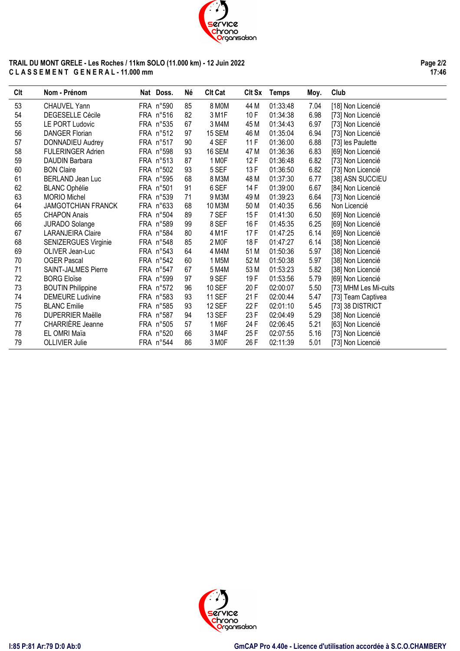

## **TRAIL DU MONT GRELE - Les Roches / 11km SOLO (11.000 km) - 12 Juin 2022 C L A S S E M E N T G E N E R A L - 11.000 mm**

**Page 2/2 17:46**

| Clt | Nom - Prénom               | Nat Doss. | Né | <b>Clt Cat</b> | CIt Sx | <b>Temps</b> | Moy. | Club                  |
|-----|----------------------------|-----------|----|----------------|--------|--------------|------|-----------------------|
| 53  | CHAUVEL Yann               | FRA n°590 | 85 | 8 MOM          | 44 M   | 01:33:48     | 7.04 | [18] Non Licencié     |
| 54  | <b>DEGESELLE Cécile</b>    | FRA n°516 | 82 | 3 M1F          | 10F    | 01:34:38     | 6.98 | [73] Non Licencié     |
| 55  | <b>LE PORT Ludovic</b>     | FRA n°535 | 67 | 3 M4M          | 45 M   | 01:34:43     | 6.97 | [73] Non Licencié     |
| 56  | <b>DANGER Florian</b>      | FRA n°512 | 97 | <b>15 SEM</b>  | 46 M   | 01:35:04     | 6.94 | [73] Non Licencié     |
| 57  | <b>DONNADIEU Audrey</b>    | FRA n°517 | 90 | 4 SEF          | 11F    | 01:36:00     | 6.88 | [73] les Paulette     |
| 58  | <b>FULERINGER Adrien</b>   | FRA n°598 | 93 | 16 SEM         | 47 M   | 01:36:36     | 6.83 | [69] Non Licencié     |
| 59  | <b>DAUDIN Barbara</b>      | FRA n°513 | 87 | 1 MOF          | 12F    | 01:36:48     | 6.82 | [73] Non Licencié     |
| 60  | <b>BON Claire</b>          | FRA n°502 | 93 | 5 SEF          | 13 F   | 01:36:50     | 6.82 | [73] Non Licencié     |
| 61  | <b>BERLAND Jean Luc</b>    | FRA n°595 | 68 | 8 M3M          | 48 M   | 01:37:30     | 6.77 | [38] ASN SUCCIEU      |
| 62  | <b>BLANC Ophélie</b>       | FRA n°501 | 91 | 6 SEF          | 14 F   | 01:39:00     | 6.67 | [84] Non Licencié     |
| 63  | <b>MORIO Michel</b>        | FRA n°539 | 71 | 9 M3M          | 49 M   | 01:39:23     | 6.64 | [73] Non Licencié     |
| 64  | <b>JAMGOTCHIAN FRANCK</b>  | FRA n°633 | 68 | 10 M3M         | 50 M   | 01:40:35     | 6.56 | Non Licencié          |
| 65  | <b>CHAPON Anais</b>        | FRA n°504 | 89 | 7 SEF          | 15 F   | 01:41:30     | 6.50 | [69] Non Licencié     |
| 66  | <b>JURADO Solange</b>      | FRA n°589 | 99 | 8 SEF          | 16 F   | 01:45:35     | 6.25 | [69] Non Licencié     |
| 67  | <b>LARANJEIRA Claire</b>   | FRA n°584 | 80 | 4 M1F          | 17F    | 01:47:25     | 6.14 | [69] Non Licencié     |
| 68  | SENIZERGUES Virginie       | FRA n°548 | 85 | 2 MOF          | 18 F   | 01:47:27     | 6.14 | [38] Non Licencié     |
| 69  | OLIVER Jean-Luc            | FRA n°543 | 64 | 4 M4M          | 51 M   | 01:50:36     | 5.97 | [38] Non Licencié     |
| 70  | <b>OGER Pascal</b>         | FRA n°542 | 60 | 1 M5M          | 52 M   | 01:50:38     | 5.97 | [38] Non Licencié     |
| 71  | <b>SAINT-JALMES Pierre</b> | FRA n°547 | 67 | 5 M4M          | 53 M   | 01:53:23     | 5.82 | [38] Non Licencié     |
| 72  | <b>BORG Eloïse</b>         | FRA n°599 | 97 | 9 SEF          | 19F    | 01:53:56     | 5.79 | [69] Non Licencié     |
| 73  | <b>BOUTIN Philippine</b>   | FRA n°572 | 96 | <b>10 SEF</b>  | 20 F   | 02:00:07     | 5.50 | [73] MHM Les Mi-cuits |
| 74  | <b>DEMEURE Ludivine</b>    | FRA n°583 | 93 | <b>11 SEF</b>  | 21 F   | 02:00:44     | 5.47 | [73] Team Captivea    |
| 75  | <b>BLANC Emilie</b>        | FRA n°585 | 93 | <b>12 SEF</b>  | 22 F   | 02:01:10     | 5.45 | [73] 38 DISTRICT      |
| 76  | <b>DUPERRIER Maëlle</b>    | FRA n°587 | 94 | 13 SEF         | 23 F   | 02:04:49     | 5.29 | [38] Non Licencié     |
| 77  | CHARRIÈRE Jeanne           | FRA n°505 | 57 | 1 M6F          | 24 F   | 02:06:45     | 5.21 | [63] Non Licencié     |
| 78  | EL OMRI Maïa               | FRA n°520 | 66 | 3 M4F          | 25F    | 02:07:55     | 5.16 | [73] Non Licencié     |
| 79  | <b>OLLIVIER Julie</b>      | FRA n°544 | 86 | 3 MOF          | 26 F   | 02:11:39     | 5.01 | [73] Non Licencié     |

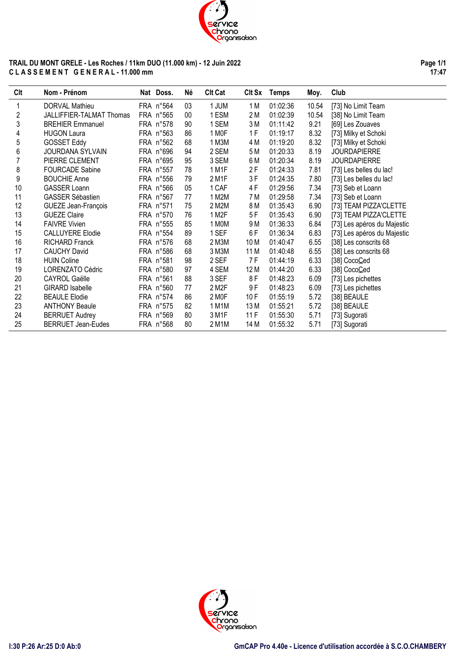

## **TRAIL DU MONT GRELE - Les Roches / 11km DUO (11.000 km) - 12 Juin 2022 C L A S S E M E N T G E N E R A L - 11.000 mm**

**Page 1/1 17:47**

| Clt | Nom - Prénom               | Nat Doss. | Né | <b>Clt Cat</b>     | Clt Sx | <b>Temps</b> | Moy.  | Club                        |
|-----|----------------------------|-----------|----|--------------------|--------|--------------|-------|-----------------------------|
|     | DORVAL Mathieu             | FRA n°564 | 03 | 1 JUM              | 1 M    | 01:02:36     | 10.54 | [73] No Limit Team          |
| 2   | JALLIFFIER-TALMAT Thomas   | FRA n°565 | 00 | 1 ESM              | 2 M    | 01:02:39     | 10.54 | [38] No Limit Team          |
| 3   | <b>BREHIER Emmanuel</b>    | FRA n°578 | 90 | 1 SEM              | 3 M    | 01:11:42     | 9.21  | [69] Les Zouaves            |
| 4   | <b>HUGON Laura</b>         | FRA n°563 | 86 | 1 MOF              | 1F     | 01:19:17     | 8.32  | [73] Milky et Schoki        |
| 5   | <b>GOSSET Eddy</b>         | FRA n°562 | 68 | 1 M3M              | 4 M    | 01:19:20     | 8.32  | [73] Milky et Schoki        |
| 6   | JOURDANA SYLVAIN           | FRA n°696 | 94 | 2 SEM              | 5 M    | 01:20:33     | 8.19  | <b>JOURDAPIERRE</b>         |
|     | PIERRE CLEMENT             | FRA n°695 | 95 | 3 SEM              | 6 M    | 01:20:34     | 8.19  | <b>JOURDAPIERRE</b>         |
| 8   | <b>FOURCADE Sabine</b>     | FRA n°557 | 78 | 1 M1F              | 2 F    | 01:24:33     | 7.81  | [73] Les belles du lac!     |
| 9   | <b>BOUCHIE Anne</b>        | FRA n°556 | 79 | 2 M1F              | 3F     | 01:24:35     | 7.80  | [73] Les belles du lac!     |
| 10  | <b>GASSER Loann</b>        | FRA n°566 | 05 | 1 CAF              | 4 F    | 01:29:56     | 7.34  | [73] Seb et Loann           |
| 11  | <b>GASSER Sébastien</b>    | FRA n°567 | 77 | 1 M2M              | 7 M    | 01:29:58     | 7.34  | [73] Seb et Loann           |
| 12  | <b>GUEZE Jean-François</b> | FRA n°571 | 75 | 2 M2M              | 8 M    | 01:35:43     | 6.90  | [73] TEAM PIZZA'CLETTE      |
| 13  | <b>GUEZE Claire</b>        | FRA n°570 | 76 | 1 M2F              | 5F     | 01:35:43     | 6.90  | [73] TEAM PIZZA'CLETTE      |
| 14  | <b>FAIVRE Vivien</b>       | FRA n°555 | 85 | 1 MOM              | 9 M    | 01:36:33     | 6.84  | [73] Les apéros du Majestic |
| 15  | <b>CALLUYERE Elodie</b>    | FRA n°554 | 89 | 1 SEF              | 6F     | 01:36:34     | 6.83  | [73] Les apéros du Majestic |
| 16  | <b>RICHARD Franck</b>      | FRA n°576 | 68 | 2 M3M              | 10 M   | 01:40:47     | 6.55  | [38] Les conscrits 68       |
| 17  | <b>CAUCHY David</b>        | FRA n°586 | 68 | 3 M3M              | 11 M   | 01:40:48     | 6.55  | [38] Les conscrits 68       |
| 18  | <b>HUIN Coline</b>         | FRA n°581 | 98 | 2 SEF              | 7 F    | 01:44:19     | 6.33  | [38] CocoCed                |
| 19  | LORENZATO Cédric           | FRA n°580 | 97 | 4 SEM              | 12 M   | 01:44:20     | 6.33  | [38] CocoCed                |
| 20  | <b>CAYROL Gaëlle</b>       | FRA n°561 | 88 | 3 SEF              | 8F     | 01:48:23     | 6.09  | [73] Les pichettes          |
| 21  | <b>GIRARD Isabelle</b>     | FRA n°560 | 77 | 2 M <sub>2</sub> F | 9F     | 01:48:23     | 6.09  | [73] Les pichettes          |
| 22  | <b>BEAULE Elodie</b>       | FRA n°574 | 86 | 2 M <sub>OF</sub>  | 10F    | 01:55:19     | 5.72  | [38] BEAULE                 |
| 23  | <b>ANTHONY Beaule</b>      | FRA n°575 | 82 | 1 M1M              | 13 M   | 01:55:21     | 5.72  | [38] BEAULE                 |
| 24  | <b>BERRUET Audrey</b>      | FRA n°569 | 80 | 3 M1F              | 11F    | 01:55:30     | 5.71  | [73] Sugorati               |
| 25  | <b>BERRUET Jean-Eudes</b>  | FRA n°568 | 80 | 2 M1M              | 14 M   | 01:55:32     | 5.71  | [73] Sugorati               |